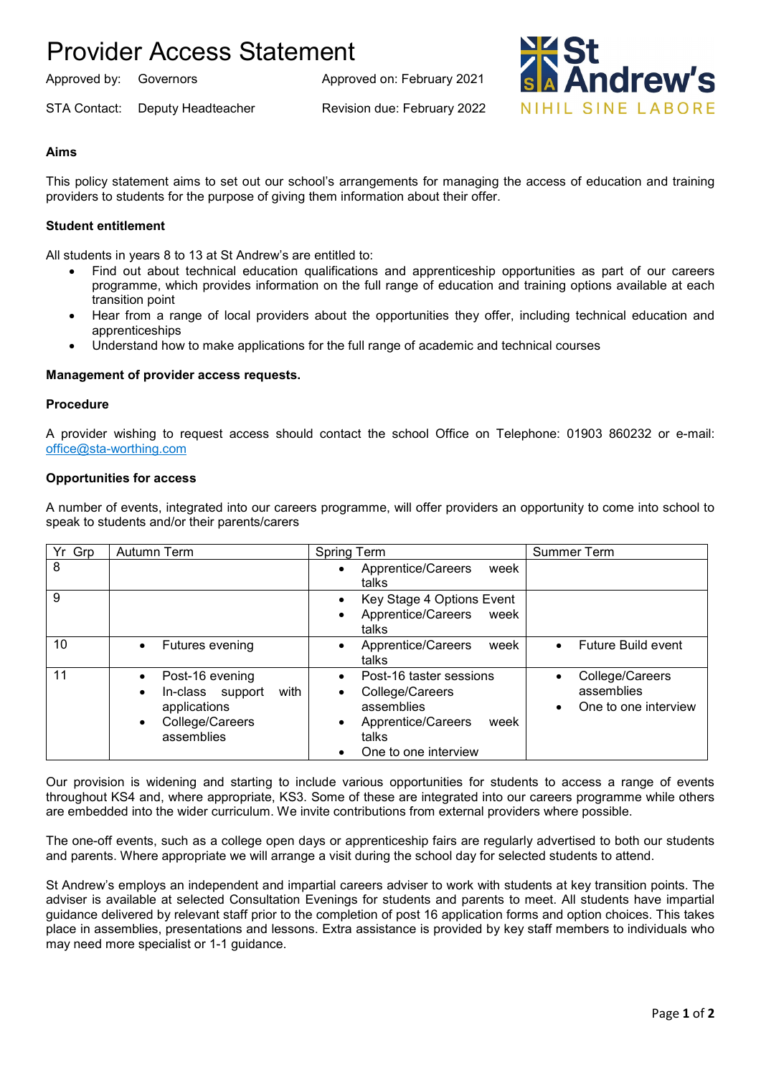# Provider Access Statement

Approved by: Governors Approved on: February 2021

STA Contact: Deputy Headteacher Revision due: February 2022

drew's NIHIL SINF LARORE

## **Aims**

This policy statement aims to set out our school's arrangements for managing the access of education and training providers to students for the purpose of giving them information about their offer.

## **Student entitlement**

All students in years 8 to 13 at St Andrew's are entitled to:

- Find out about technical education qualifications and apprenticeship opportunities as part of our careers programme, which provides information on the full range of education and training options available at each transition point
- Hear from a range of local providers about the opportunities they offer, including technical education and apprenticeships
- Understand how to make applications for the full range of academic and technical courses

### **Management of provider access requests.**

#### **Procedure**

A provider wishing to request access should contact the school Office on Telephone: 01903 860232 or e-mail: [office@sta-worthing.com](mailto:office@sta-worthing.com)

### **Opportunities for access**

A number of events, integrated into our careers programme, will offer providers an opportunity to come into school to speak to students and/or their parents/carers

| Yr Grp | Autumn Term                                                                                                            | Spring Term                                                                                                                                                         | <b>Summer Term</b>                                    |
|--------|------------------------------------------------------------------------------------------------------------------------|---------------------------------------------------------------------------------------------------------------------------------------------------------------------|-------------------------------------------------------|
| 8      |                                                                                                                        | Apprentice/Careers<br>week<br>$\bullet$<br>talks                                                                                                                    |                                                       |
| 9      |                                                                                                                        | Key Stage 4 Options Event<br>Apprentice/Careers<br>week<br>$\bullet$<br>talks                                                                                       |                                                       |
| 10     | Futures evening                                                                                                        | Apprentice/Careers<br>week<br>talks                                                                                                                                 | Future Build event                                    |
| 11     | Post-16 evening<br>with<br>In-class support<br>$\bullet$<br>applications<br>College/Careers<br>$\bullet$<br>assemblies | Post-16 taster sessions<br>$\bullet$<br>College/Careers<br>$\bullet$<br>assemblies<br>Apprentice/Careers<br>week<br>$\bullet$<br>talks<br>One to one interview<br>٠ | College/Careers<br>assemblies<br>One to one interview |

Our provision is widening and starting to include various opportunities for students to access a range of events throughout KS4 and, where appropriate, KS3. Some of these are integrated into our careers programme while others are embedded into the wider curriculum. We invite contributions from external providers where possible.

The one-off events, such as a college open days or apprenticeship fairs are regularly advertised to both our students and parents. Where appropriate we will arrange a visit during the school day for selected students to attend.

St Andrew's employs an independent and impartial careers adviser to work with students at key transition points. The adviser is available at selected Consultation Evenings for students and parents to meet. All students have impartial guidance delivered by relevant staff prior to the completion of post 16 application forms and option choices. This takes place in assemblies, presentations and lessons. Extra assistance is provided by key staff members to individuals who may need more specialist or 1-1 guidance.